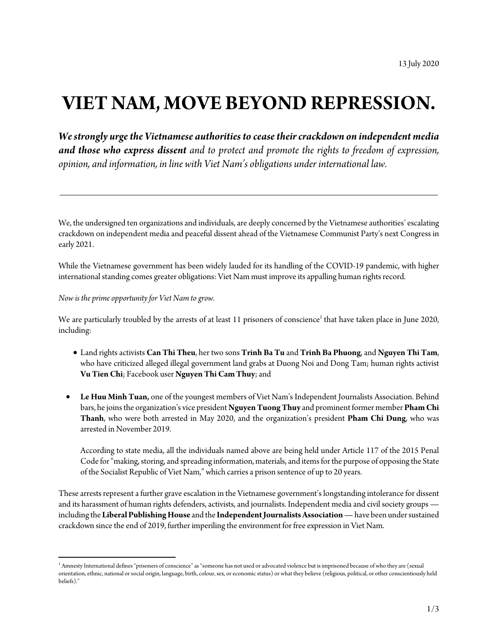## **VIETNAM, MOVE BEYOND REPRESSION.**

*We strongly urge the Vietnamese authorities to cease theircrackdown on independent media and those who express dissent and to protect and promote the rights to freedom of expression, opinion, and information, in line with Viet Nam's obligations under international law.*

We, the undersigned ten organizations and individuals, are deeply concerned by the Vietnamese authorities' escalating crackdown on independent media and peaceful dissent ahead of the Vietnamese Communist Party's next Congress in early 2021.

While the Vietnamese government has been widely lauded for its handling of the COVID-19 pandemic, with higher international standing comes greater obligations: Viet Nam must improve its appalling human rights record.

## *Now is the prime opportunity for Viet Nam to grow.*

l

We are particularly troubled by the arrests of at least 11 prisoners of conscience<sup>1</sup> that have taken place in June 2020, including:

- Land rights activists **Can Thi Theu**, her two sons **Trinh Ba Tu** and **Trinh Ba Phuong**, and **Nguyen Thi Tam**, who have criticized alleged illegal government land grabs at Duong Noi and Dong Tam; human rights activist **Vu Tien Chi**; Facebook user **Nguyen Thi Cam Thuy**; and
- **Le Huu Minh Tuan,** one of the youngest members of Viet Nam's Independent Journalists Association. Behind bars, he joins the organization's vice president **Nguyen Tuong Thuy** and prominent former member **Pham Chi Thanh**, who were both arrested in May 2020, and the organization's president **Pham Chi Dung**, who was arrested in November 2019.

According to state media, all the individuals named above are being held under Article 117 of the 2015 Penal Code for "making, storing, and spreading information, materials, and items for the purpose of opposing the State of the Socialist Republic of Viet Nam," which carries a prison sentence of up to 20 years.

These arrests represent afurther grave escalation in the Vietnamese government's longstanding intolerance for dissent and its harassment of human rights defenders, activists, and journalists. Independent media and civil society groups  including the **Liberal Publishing House** and the **Independent Journalists Association —** have been under sustained crackdown since the end of 2019, further imperiling the environment for free expression in Viet Nam.

 $^{\rm 1}$  Amnesty International defines "prisoners of conscience" as "someone has not used or advocated violence but is imprisoned because of who they are (sexual orientation, ethnic, national or social origin, language, birth, colour, sex, or economic status) or what they believe (religious, political, or other conscientiously held beliefs)."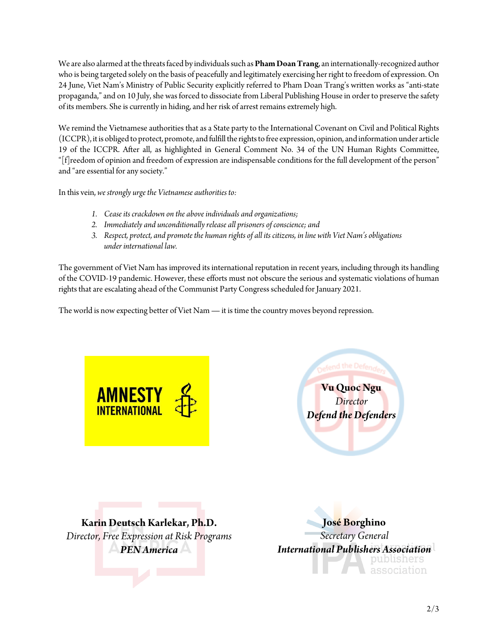We are also alarmed at the threats faced by individuals such as**Pham Doan Trang**, an internationally-recognized author who is being targeted solely on the basis of peacefully and legitimately exercising her right to freedom of expression. On 24 June, Viet Nam's Ministry of Public Security explicitly referred to Pham Doan Trang's written works as "anti-state propaganda," and on 10 July, she was forced to dissociate from Liberal Publishing House in order to preserve the safety of its members. She is currently in hiding, and her risk of arrest remains extremely high.

We remind the Vietnamese authorities that as a State party to the International Covenant on Civil and Political Rights (ICCPR), it is obliged to protect, promote, and fulfill the rights to free expression, opinion, and information under article 19 of the ICCPR. After all, as highlighted in General Comment No. 34 of the UN Human Rights Committee, "[f]reedom of opinion and freedom of expression are indispensable conditions for the full development of the person" and "are essential for any society."

In this vein, *we strongly urge the Vietnamese authorities to:* 

- *1. Cease its crackdown on the above individuals and organizations;*
- *2. Immediately and unconditionally release all prisoners of conscience; and*
- *3. Respect, protect, and promote the human rights of all its citizens, in line with Viet Nam's obligations under international law.*

The government of Viet Nam has improved its international reputation in recent years, including through its handling of the COVID-19 pandemic. However, these efforts must not obscure the serious and systematic violations of human rights that are escalating ahead of the Communist Party Congress scheduled for January 2021.

The world is now expecting better of Viet Nam **—** it is time the country moves beyond repression.